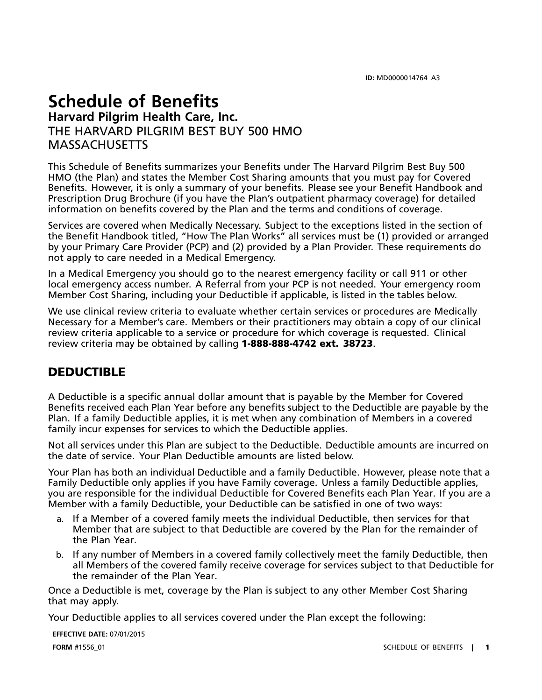# **Schedule of Benefits Harvard Pilgrim Health Care, Inc.** THE HARVARD PILGRIM BEST BUY 500 HMO MASSACHUSETTS

This Schedule of Benefits summarizes your Benefits under The Harvard Pilgrim Best Buy 500 HMO (the Plan) and states the Member Cost Sharing amounts that you must pay for Covered Benefits. However, it is only <sup>a</sup> summary of your benefits. Please see your Benefit Handbook and Prescription Drug Brochure (if you have the Plan's outpatient pharmacy coverage) for detailed information on benefits covered by the Plan and the terms and conditions of coverage.

Services are covered when Medically Necessary. Subject to the exceptions listed in the section of the Benefit Handbook titled, "How The Plan Works" all services must be (1) provided or arranged by your Primary Care Provider (PCP) and (2) provided by <sup>a</sup> Plan Provider. These requirements do not apply to care needed in <sup>a</sup> Medical Emergency.

In <sup>a</sup> Medical Emergency you should go to the nearest emergency facility or call 911 or other local emergency access number. A Referral from your PCP is not needed. Your emergency room Member Cost Sharing, including your Deductible if applicable, is listed in the tables below.

We use clinical review criteria to evaluate whether certain services or procedures are Medically Necessary for <sup>a</sup> Member's care. Members or their practitioners may obtain <sup>a</sup> copy of our clinical review criteria applicable to <sup>a</sup> service or procedure for which coverage is requested. Clinical review criteria may be obtained by calling **1-888-888-4742 ext. 38723**.

## **DEDUCTIBLE**

A Deductible is <sup>a</sup> specific annual dollar amount that is payable by the Member for Covered Benefits received each Plan Year before any benefits subject to the Deductible are payable by the Plan. If <sup>a</sup> family Deductible applies, it is met when any combination of Members in <sup>a</sup> covered family incur expenses for services to which the Deductible applies.

Not all services under this Plan are subject to the Deductible. Deductible amounts are incurred on the date of service. Your Plan Deductible amounts are listed below.

Your Plan has both an individual Deductible and <sup>a</sup> family Deductible. However, please note that <sup>a</sup> Family Deductible only applies if you have Family coverage. Unless <sup>a</sup> family Deductible applies, you are responsible for the individual Deductible for Covered Benefits each Plan Year. If you are <sup>a</sup> Member with <sup>a</sup> family Deductible, your Deductible can be satisfied in one of two ways:

- a. If <sup>a</sup> Member of <sup>a</sup> covered family meets the individual Deductible, then services for that Member that are subject to that Deductible are covered by the Plan for the remainder of the Plan Year.
- b. If any number of Members in <sup>a</sup> covered family collectively meet the family Deductible, then all Members of the covered family receive coverage for services subject to that Deductible for the remainder of the Plan Year.

Once <sup>a</sup> Deductible is met, coverage by the Plan is subject to any other Member Cost Sharing that may apply.

Your Deductible applies to all services covered under the Plan except the following:

**EFFECTIVE DATE:** 07/01/2015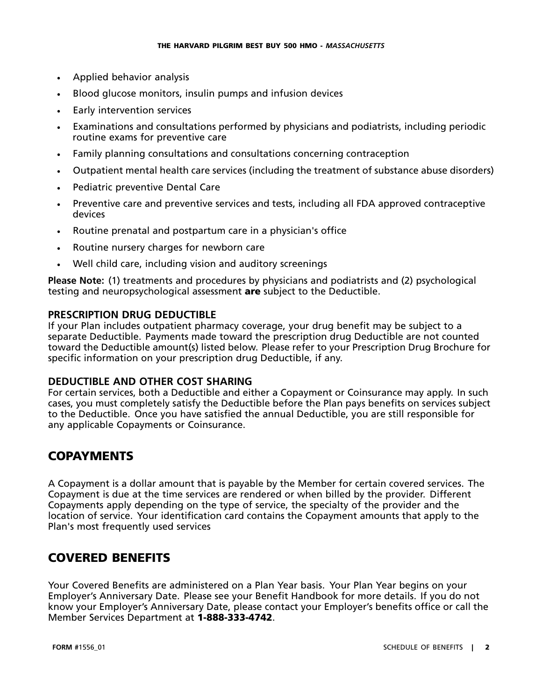- •Applied behavior analysis
- •Blood glucose monitors, insulin pumps and infusion devices
- •Early intervention services
- • Examinations and consultations performed by physicians and podiatrists, including periodic routine exams for preventive care
- •Family planning consultations and consultations concerning contraception
- •Outpatient mental health care services (including the treatment of substance abuse disorders)
- •Pediatric preventive Dental Care
- • Preventive care and preventive services and tests, including all FDA approved contraceptive devices
- •Routine prenatal and postpartum care in <sup>a</sup> physician's office
- •Routine nursery charges for newborn care
- •Well child care, including vision and auditory screenings

**Please Note:** (1) treatments and procedures by physicians and podiatrists and (2) psychological testing and neuropsychological assessment **are** subject to the Deductible.

### **PRESCRIPTION DRUG DEDUCTIBLE**

If your Plan includes outpatient pharmacy coverage, your drug benefit may be subject to <sup>a</sup> separate Deductible. Payments made toward the prescription drug Deductible are not counted toward the Deductible amount(s) listed below. Please refer to your Prescription Drug Brochure for specific information on your prescription drug Deductible, if any.

### **DEDUCTIBLE AND OTHER COST SHARING**

For certain services, both <sup>a</sup> Deductible and either <sup>a</sup> Copayment or Coinsurance may apply. In such cases, you must completely satisfy the Deductible before the Plan pays benefits on services subject to the Deductible. Once you have satisfied the annual Deductible, you are still responsible for any applicable Copayments or Coinsurance.

## **COPAYMENTS**

A Copayment is <sup>a</sup> dollar amount that is payable by the Member for certain covered services. The Copayment is due at the time services are rendered or when billed by the provider. Different Copayments apply depending on the type of service, the specialty of the provider and the location of service. Your identification card contains the Copayment amounts that apply to the Plan's most frequently used services

## **COVERED BENEFITS**

Your Covered Benefits are administered on <sup>a</sup> Plan Year basis. Your Plan Year begins on your Employer's Anniversary Date. Please see your Benefit Handbook for more details. If you do not know your Employer's Anniversary Date, please contact your Employer's benefits office or call the Member Services Department at **1-888-333-4742**.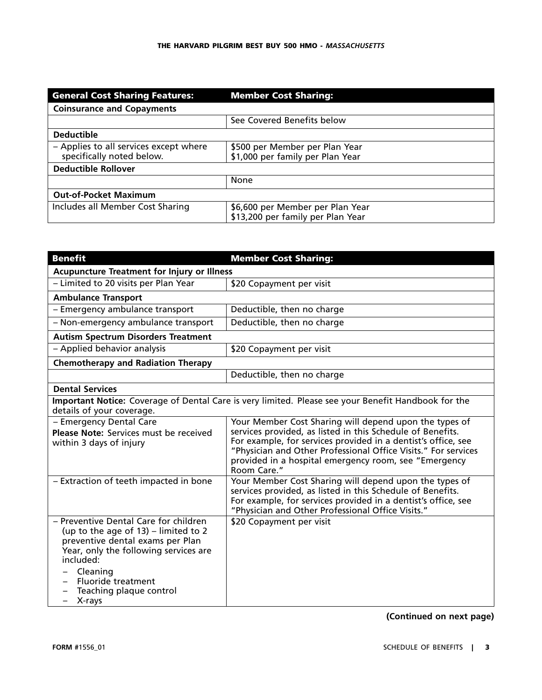| <b>General Cost Sharing Features:</b>                               | <b>Member Cost Sharing:</b>                                           |
|---------------------------------------------------------------------|-----------------------------------------------------------------------|
| <b>Coinsurance and Copayments</b>                                   |                                                                       |
|                                                                     | See Covered Benefits below                                            |
| <b>Deductible</b>                                                   |                                                                       |
| - Applies to all services except where<br>specifically noted below. | \$500 per Member per Plan Year<br>\$1,000 per family per Plan Year    |
| <b>Deductible Rollover</b>                                          |                                                                       |
|                                                                     | None                                                                  |
| <b>Out-of-Pocket Maximum</b>                                        |                                                                       |
| Includes all Member Cost Sharing                                    | \$6,600 per Member per Plan Year<br>\$13,200 per family per Plan Year |

| <b>Benefit</b>                                                                                                                                                                                                                                           | <b>Member Cost Sharing:</b>                                                                                                                                                                                                                                                                                                     |
|----------------------------------------------------------------------------------------------------------------------------------------------------------------------------------------------------------------------------------------------------------|---------------------------------------------------------------------------------------------------------------------------------------------------------------------------------------------------------------------------------------------------------------------------------------------------------------------------------|
| <b>Acupuncture Treatment for Injury or Illness</b>                                                                                                                                                                                                       |                                                                                                                                                                                                                                                                                                                                 |
| - Limited to 20 visits per Plan Year                                                                                                                                                                                                                     | \$20 Copayment per visit                                                                                                                                                                                                                                                                                                        |
| <b>Ambulance Transport</b>                                                                                                                                                                                                                               |                                                                                                                                                                                                                                                                                                                                 |
| - Emergency ambulance transport                                                                                                                                                                                                                          | Deductible, then no charge                                                                                                                                                                                                                                                                                                      |
| - Non-emergency ambulance transport                                                                                                                                                                                                                      | Deductible, then no charge                                                                                                                                                                                                                                                                                                      |
| <b>Autism Spectrum Disorders Treatment</b>                                                                                                                                                                                                               |                                                                                                                                                                                                                                                                                                                                 |
| - Applied behavior analysis                                                                                                                                                                                                                              | \$20 Copayment per visit                                                                                                                                                                                                                                                                                                        |
| <b>Chemotherapy and Radiation Therapy</b>                                                                                                                                                                                                                |                                                                                                                                                                                                                                                                                                                                 |
|                                                                                                                                                                                                                                                          | Deductible, then no charge                                                                                                                                                                                                                                                                                                      |
| <b>Dental Services</b>                                                                                                                                                                                                                                   |                                                                                                                                                                                                                                                                                                                                 |
| Important Notice: Coverage of Dental Care is very limited. Please see your Benefit Handbook for the<br>details of your coverage.                                                                                                                         |                                                                                                                                                                                                                                                                                                                                 |
| - Emergency Dental Care<br><b>Please Note: Services must be received</b><br>within 3 days of injury                                                                                                                                                      | Your Member Cost Sharing will depend upon the types of<br>services provided, as listed in this Schedule of Benefits.<br>For example, for services provided in a dentist's office, see<br>"Physician and Other Professional Office Visits." For services<br>provided in a hospital emergency room, see "Emergency<br>Room Care." |
| - Extraction of teeth impacted in bone                                                                                                                                                                                                                   | Your Member Cost Sharing will depend upon the types of<br>services provided, as listed in this Schedule of Benefits.<br>For example, for services provided in a dentist's office, see<br>"Physician and Other Professional Office Visits."                                                                                      |
| - Preventive Dental Care for children<br>(up to the age of $13$ ) – limited to 2<br>preventive dental exams per Plan<br>Year, only the following services are<br>included:<br>Cleaning<br><b>Fluoride treatment</b><br>Teaching plaque control<br>X-rays | \$20 Copayment per visit                                                                                                                                                                                                                                                                                                        |

**(Continued on next page)**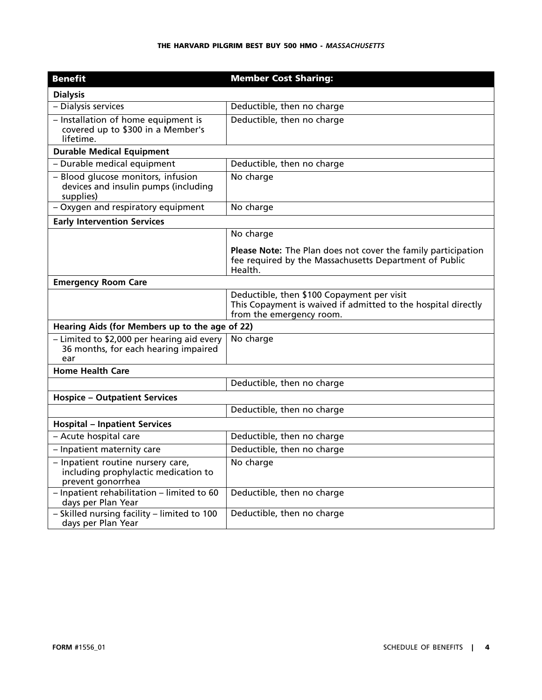| <b>Benefit</b>                                                                                 | <b>Member Cost Sharing:</b>                                                                                                             |
|------------------------------------------------------------------------------------------------|-----------------------------------------------------------------------------------------------------------------------------------------|
| <b>Dialysis</b>                                                                                |                                                                                                                                         |
| - Dialysis services                                                                            | Deductible, then no charge                                                                                                              |
| - Installation of home equipment is<br>covered up to \$300 in a Member's<br>lifetime.          | Deductible, then no charge                                                                                                              |
| <b>Durable Medical Equipment</b>                                                               |                                                                                                                                         |
| - Durable medical equipment                                                                    | Deductible, then no charge                                                                                                              |
| - Blood glucose monitors, infusion<br>devices and insulin pumps (including<br>supplies)        | No charge                                                                                                                               |
| - Oxygen and respiratory equipment                                                             | No charge                                                                                                                               |
| <b>Early Intervention Services</b>                                                             |                                                                                                                                         |
|                                                                                                | No charge                                                                                                                               |
|                                                                                                | Please Note: The Plan does not cover the family participation<br>fee required by the Massachusetts Department of Public<br>Health.      |
| <b>Emergency Room Care</b>                                                                     |                                                                                                                                         |
|                                                                                                | Deductible, then \$100 Copayment per visit<br>This Copayment is waived if admitted to the hospital directly<br>from the emergency room. |
| Hearing Aids (for Members up to the age of 22)                                                 |                                                                                                                                         |
| - Limited to \$2,000 per hearing aid every<br>36 months, for each hearing impaired<br>ear      | No charge                                                                                                                               |
| <b>Home Health Care</b>                                                                        |                                                                                                                                         |
|                                                                                                | Deductible, then no charge                                                                                                              |
| <b>Hospice - Outpatient Services</b>                                                           |                                                                                                                                         |
|                                                                                                | Deductible, then no charge                                                                                                              |
| <b>Hospital - Inpatient Services</b>                                                           |                                                                                                                                         |
| - Acute hospital care                                                                          | Deductible, then no charge                                                                                                              |
| - Inpatient maternity care                                                                     | Deductible, then no charge                                                                                                              |
| - Inpatient routine nursery care,<br>including prophylactic medication to<br>prevent gonorrhea | No charge                                                                                                                               |
| - Inpatient rehabilitation - limited to 60<br>days per Plan Year                               | Deductible, then no charge                                                                                                              |
| - Skilled nursing facility - limited to 100<br>days per Plan Year                              | Deductible, then no charge                                                                                                              |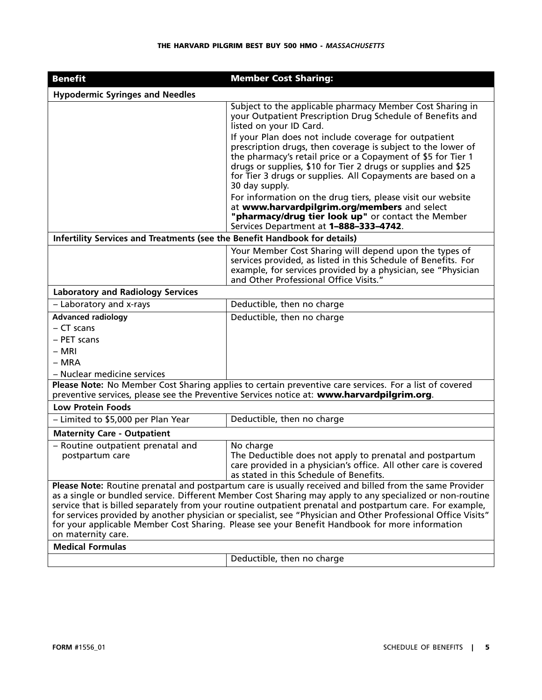#### **THE HARVARD PILGRIM BEST BUY 500 HMO -** *MASSACHUSETTS*

| <b>Benefit</b>                                                                                                                                                                                                                                                                                                                                                                                                                                                                                                                                                              | <b>Member Cost Sharing:</b>                                                                                                                                                                                                                                                                                                             |
|-----------------------------------------------------------------------------------------------------------------------------------------------------------------------------------------------------------------------------------------------------------------------------------------------------------------------------------------------------------------------------------------------------------------------------------------------------------------------------------------------------------------------------------------------------------------------------|-----------------------------------------------------------------------------------------------------------------------------------------------------------------------------------------------------------------------------------------------------------------------------------------------------------------------------------------|
| <b>Hypodermic Syringes and Needles</b>                                                                                                                                                                                                                                                                                                                                                                                                                                                                                                                                      |                                                                                                                                                                                                                                                                                                                                         |
|                                                                                                                                                                                                                                                                                                                                                                                                                                                                                                                                                                             | Subject to the applicable pharmacy Member Cost Sharing in<br>your Outpatient Prescription Drug Schedule of Benefits and<br>listed on your ID Card.                                                                                                                                                                                      |
|                                                                                                                                                                                                                                                                                                                                                                                                                                                                                                                                                                             | If your Plan does not include coverage for outpatient<br>prescription drugs, then coverage is subject to the lower of<br>the pharmacy's retail price or a Copayment of \$5 for Tier 1<br>drugs or supplies, \$10 for Tier 2 drugs or supplies and \$25<br>for Tier 3 drugs or supplies. All Copayments are based on a<br>30 day supply. |
|                                                                                                                                                                                                                                                                                                                                                                                                                                                                                                                                                                             | For information on the drug tiers, please visit our website<br>at www.harvardpilgrim.org/members and select<br>"pharmacy/drug tier look up" or contact the Member<br>Services Department at 1-888-333-4742.                                                                                                                             |
| Infertility Services and Treatments (see the Benefit Handbook for details)                                                                                                                                                                                                                                                                                                                                                                                                                                                                                                  |                                                                                                                                                                                                                                                                                                                                         |
|                                                                                                                                                                                                                                                                                                                                                                                                                                                                                                                                                                             | Your Member Cost Sharing will depend upon the types of<br>services provided, as listed in this Schedule of Benefits. For<br>example, for services provided by a physician, see "Physician<br>and Other Professional Office Visits."                                                                                                     |
| <b>Laboratory and Radiology Services</b>                                                                                                                                                                                                                                                                                                                                                                                                                                                                                                                                    |                                                                                                                                                                                                                                                                                                                                         |
| - Laboratory and x-rays                                                                                                                                                                                                                                                                                                                                                                                                                                                                                                                                                     | Deductible, then no charge                                                                                                                                                                                                                                                                                                              |
| <b>Advanced radiology</b>                                                                                                                                                                                                                                                                                                                                                                                                                                                                                                                                                   | Deductible, then no charge                                                                                                                                                                                                                                                                                                              |
| - CT scans                                                                                                                                                                                                                                                                                                                                                                                                                                                                                                                                                                  |                                                                                                                                                                                                                                                                                                                                         |
| - PET scans                                                                                                                                                                                                                                                                                                                                                                                                                                                                                                                                                                 |                                                                                                                                                                                                                                                                                                                                         |
| – MRI                                                                                                                                                                                                                                                                                                                                                                                                                                                                                                                                                                       |                                                                                                                                                                                                                                                                                                                                         |
| $- MRA$                                                                                                                                                                                                                                                                                                                                                                                                                                                                                                                                                                     |                                                                                                                                                                                                                                                                                                                                         |
| - Nuclear medicine services                                                                                                                                                                                                                                                                                                                                                                                                                                                                                                                                                 |                                                                                                                                                                                                                                                                                                                                         |
| Please Note: No Member Cost Sharing applies to certain preventive care services. For a list of covered<br>preventive services, please see the Preventive Services notice at: www.harvardpilgrim.org.                                                                                                                                                                                                                                                                                                                                                                        |                                                                                                                                                                                                                                                                                                                                         |
| <b>Low Protein Foods</b>                                                                                                                                                                                                                                                                                                                                                                                                                                                                                                                                                    |                                                                                                                                                                                                                                                                                                                                         |
| - Limited to \$5,000 per Plan Year                                                                                                                                                                                                                                                                                                                                                                                                                                                                                                                                          | Deductible, then no charge                                                                                                                                                                                                                                                                                                              |
| <b>Maternity Care - Outpatient</b>                                                                                                                                                                                                                                                                                                                                                                                                                                                                                                                                          |                                                                                                                                                                                                                                                                                                                                         |
| - Routine outpatient prenatal and<br>postpartum care                                                                                                                                                                                                                                                                                                                                                                                                                                                                                                                        | No charge<br>The Deductible does not apply to prenatal and postpartum<br>care provided in a physician's office. All other care is covered<br>as stated in this Schedule of Benefits.                                                                                                                                                    |
| Please Note: Routine prenatal and postpartum care is usually received and billed from the same Provider<br>as a single or bundled service. Different Member Cost Sharing may apply to any specialized or non-routine<br>service that is billed separately from your routine outpatient prenatal and postpartum care. For example,<br>for services provided by another physician or specialist, see "Physician and Other Professional Office Visits"<br>for your applicable Member Cost Sharing. Please see your Benefit Handbook for more information<br>on maternity care. |                                                                                                                                                                                                                                                                                                                                         |
| <b>Medical Formulas</b>                                                                                                                                                                                                                                                                                                                                                                                                                                                                                                                                                     |                                                                                                                                                                                                                                                                                                                                         |
|                                                                                                                                                                                                                                                                                                                                                                                                                                                                                                                                                                             | Deductible, then no charge                                                                                                                                                                                                                                                                                                              |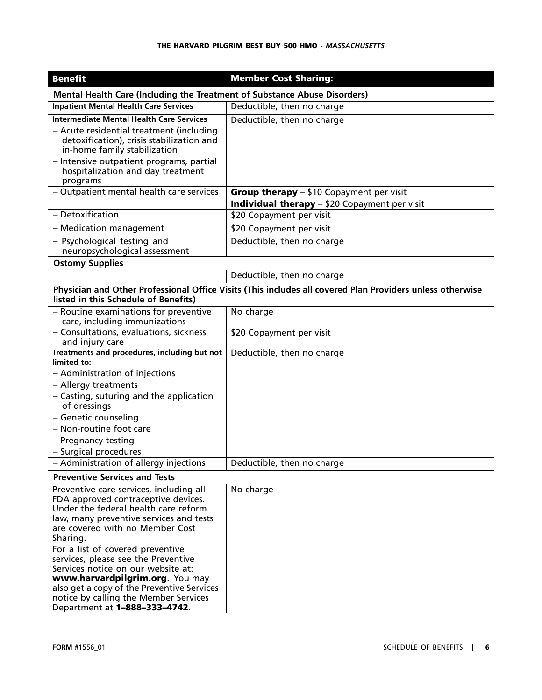| <b>Benefit</b>                                                                                                                                                                                                       | <b>Member Cost Sharing:</b>                                                                               |  |
|----------------------------------------------------------------------------------------------------------------------------------------------------------------------------------------------------------------------|-----------------------------------------------------------------------------------------------------------|--|
| Mental Health Care (Including the Treatment of Substance Abuse Disorders)                                                                                                                                            |                                                                                                           |  |
| <b>Inpatient Mental Health Care Services</b>                                                                                                                                                                         | Deductible, then no charge                                                                                |  |
| <b>Intermediate Mental Health Care Services</b><br>- Acute residential treatment (including<br>detoxification), crisis stabilization and<br>in-home family stabilization<br>- Intensive outpatient programs, partial | Deductible, then no charge                                                                                |  |
| hospitalization and day treatment<br>programs                                                                                                                                                                        |                                                                                                           |  |
| - Outpatient mental health care services                                                                                                                                                                             | Group therapy - \$10 Copayment per visit<br><b>Individual therapy</b> - \$20 Copayment per visit          |  |
| - Detoxification                                                                                                                                                                                                     | \$20 Copayment per visit                                                                                  |  |
| - Medication management                                                                                                                                                                                              | \$20 Copayment per visit                                                                                  |  |
| - Psychological testing and<br>neuropsychological assessment                                                                                                                                                         | Deductible, then no charge                                                                                |  |
| <b>Ostomy Supplies</b>                                                                                                                                                                                               |                                                                                                           |  |
|                                                                                                                                                                                                                      | Deductible, then no charge                                                                                |  |
| listed in this Schedule of Benefits)                                                                                                                                                                                 | Physician and Other Professional Office Visits (This includes all covered Plan Providers unless otherwise |  |
| - Routine examinations for preventive<br>care, including immunizations                                                                                                                                               | No charge                                                                                                 |  |
| - Consultations, evaluations, sickness<br>and injury care                                                                                                                                                            | \$20 Copayment per visit                                                                                  |  |
| Treatments and procedures, including but not<br>limited to:                                                                                                                                                          | Deductible, then no charge                                                                                |  |
| - Administration of injections                                                                                                                                                                                       |                                                                                                           |  |
| - Allergy treatments                                                                                                                                                                                                 |                                                                                                           |  |
| - Casting, suturing and the application<br>of dressings                                                                                                                                                              |                                                                                                           |  |
| - Genetic counseling                                                                                                                                                                                                 |                                                                                                           |  |
| - Non-routine foot care                                                                                                                                                                                              |                                                                                                           |  |
| - Pregnancy testing<br>- Surgical procedures                                                                                                                                                                         |                                                                                                           |  |
| - Administration of allergy injections                                                                                                                                                                               | Deductible, then no charge                                                                                |  |
| <b>Preventive Services and Tests</b>                                                                                                                                                                                 |                                                                                                           |  |
| Preventive care services, including all<br>FDA approved contraceptive devices.<br>Under the federal health care reform<br>law, many preventive services and tests                                                    | No charge                                                                                                 |  |
| are covered with no Member Cost<br>Sharing.                                                                                                                                                                          |                                                                                                           |  |
| For a list of covered preventive<br>services, please see the Preventive<br>Services notice on our website at:<br>www.harvardpilgrim.org. You may<br>also get a copy of the Preventive Services                       |                                                                                                           |  |
| notice by calling the Member Services<br>Department at 1-888-333-4742.                                                                                                                                               |                                                                                                           |  |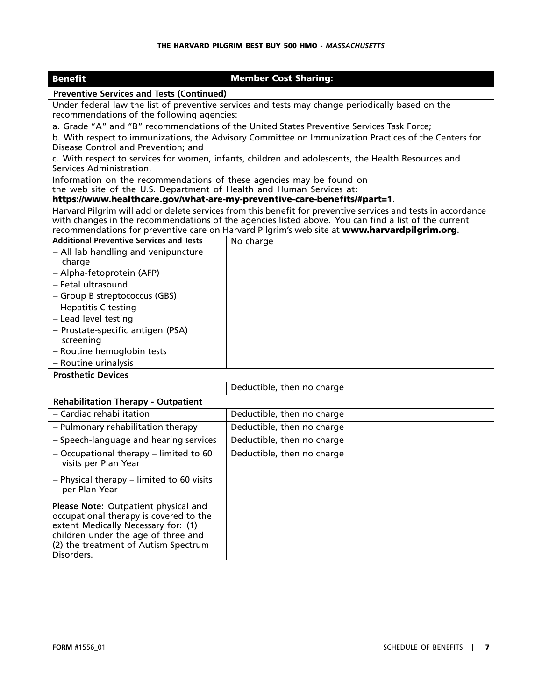| <b>Benefit</b>                                                                                                                                                                                                                                                                                                        | <b>Member Cost Sharing:</b> |  |
|-----------------------------------------------------------------------------------------------------------------------------------------------------------------------------------------------------------------------------------------------------------------------------------------------------------------------|-----------------------------|--|
| <b>Preventive Services and Tests (Continued)</b>                                                                                                                                                                                                                                                                      |                             |  |
| Under federal law the list of preventive services and tests may change periodically based on the                                                                                                                                                                                                                      |                             |  |
| recommendations of the following agencies:                                                                                                                                                                                                                                                                            |                             |  |
| a. Grade "A" and "B" recommendations of the United States Preventive Services Task Force;                                                                                                                                                                                                                             |                             |  |
| b. With respect to immunizations, the Advisory Committee on Immunization Practices of the Centers for<br>Disease Control and Prevention; and                                                                                                                                                                          |                             |  |
| c. With respect to services for women, infants, children and adolescents, the Health Resources and<br>Services Administration.                                                                                                                                                                                        |                             |  |
| Information on the recommendations of these agencies may be found on                                                                                                                                                                                                                                                  |                             |  |
| the web site of the U.S. Department of Health and Human Services at:                                                                                                                                                                                                                                                  |                             |  |
| https://www.healthcare.gov/what-are-my-preventive-care-benefits/#part=1.                                                                                                                                                                                                                                              |                             |  |
| Harvard Pilgrim will add or delete services from this benefit for preventive services and tests in accordance<br>with changes in the recommendations of the agencies listed above. You can find a list of the current<br>recommendations for preventive care on Harvard Pilgrim's web site at www.harvardpilgrim.org. |                             |  |
| <b>Additional Preventive Services and Tests</b>                                                                                                                                                                                                                                                                       | No charge                   |  |
| - All lab handling and venipuncture                                                                                                                                                                                                                                                                                   |                             |  |
| charge                                                                                                                                                                                                                                                                                                                |                             |  |
| - Alpha-fetoprotein (AFP)                                                                                                                                                                                                                                                                                             |                             |  |
| - Fetal ultrasound                                                                                                                                                                                                                                                                                                    |                             |  |
| - Group B streptococcus (GBS)                                                                                                                                                                                                                                                                                         |                             |  |
| - Hepatitis C testing                                                                                                                                                                                                                                                                                                 |                             |  |
| - Lead level testing                                                                                                                                                                                                                                                                                                  |                             |  |
| - Prostate-specific antigen (PSA)                                                                                                                                                                                                                                                                                     |                             |  |
| screening                                                                                                                                                                                                                                                                                                             |                             |  |
| - Routine hemoglobin tests                                                                                                                                                                                                                                                                                            |                             |  |
| - Routine urinalysis                                                                                                                                                                                                                                                                                                  |                             |  |
| <b>Prosthetic Devices</b>                                                                                                                                                                                                                                                                                             |                             |  |
|                                                                                                                                                                                                                                                                                                                       | Deductible, then no charge  |  |
| <b>Rehabilitation Therapy - Outpatient</b>                                                                                                                                                                                                                                                                            |                             |  |
| - Cardiac rehabilitation                                                                                                                                                                                                                                                                                              | Deductible, then no charge  |  |
| - Pulmonary rehabilitation therapy                                                                                                                                                                                                                                                                                    | Deductible, then no charge  |  |
| - Speech-language and hearing services                                                                                                                                                                                                                                                                                | Deductible, then no charge  |  |
| - Occupational therapy - limited to 60<br>visits per Plan Year                                                                                                                                                                                                                                                        | Deductible, then no charge  |  |
| - Physical therapy - limited to 60 visits<br>per Plan Year                                                                                                                                                                                                                                                            |                             |  |
| Please Note: Outpatient physical and<br>occupational therapy is covered to the<br>extent Medically Necessary for: (1)<br>children under the age of three and<br>(2) the treatment of Autism Spectrum<br>Disorders.                                                                                                    |                             |  |